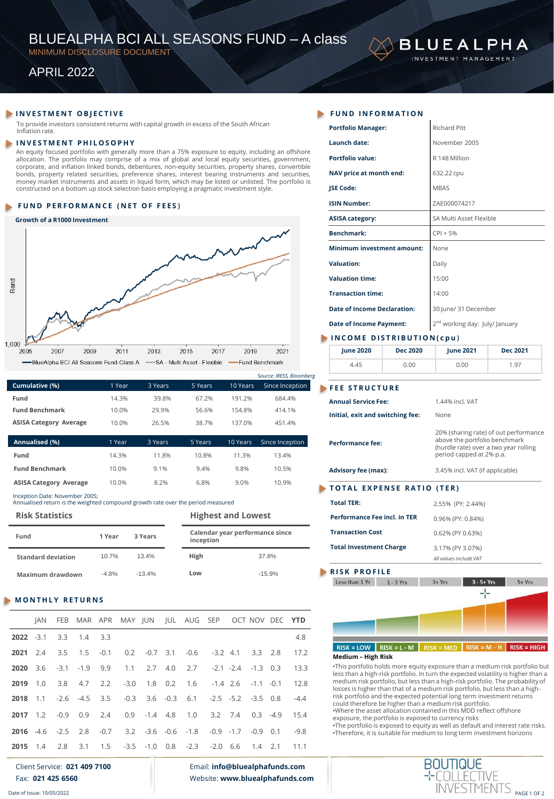# BLUEALPHA BCI ALL SEASONS FUND – A class

MINIMUM DISCLOSURE DOCUMENT

# APRIL 2022

# **INVESTMENT OBJECTIVE**

To provide investors consistent returns with capital growth in excess of the South African Inflation rate.

#### **I N V E S T M E N T P H I L O S O P H Y**

An equity focused portfolio with generally more than a 75% exposure to equity, including an offshore allocation. The portfolio may comprise of a mix of global and local equity securities, government, corporate, and inflation linked bonds, debentures, non-equity securities, property shares, convertible bonds, property related securities, preference shares, interest bearing instruments and securities, money market instruments and assets in liquid form, which may be listed or unlisted. The portfolio is constructed on a bottom up stock selection basis employing a pragmatic investment style.

# **FUND PERFORMANCE (NET OF FEES)**

### **Growth of a R1000 Investment**



|                               |        |         |         |          | Source: IRESS, Bloomberg |
|-------------------------------|--------|---------|---------|----------|--------------------------|
| Cumulative (%)                | 1 Year | 3 Years | 5 Years | 10 Years | Since Inception          |
| Fund                          | 14.3%  | 39.8%   | 67.2%   | 191.2%   | 684.4%                   |
| <b>Fund Benchmark</b>         | 10.0%  | 29.9%   | 56.6%   | 154.8%   | 414.1%                   |
| <b>ASISA Category Average</b> | 10.0%  | 26.5%   | 38.7%   | 137 0%   | 451.4%                   |
|                               |        |         |         |          |                          |

| Annualised (%)                | 1 Year | 3 Years | 5 Years | 10 Years | Since Inception |
|-------------------------------|--------|---------|---------|----------|-----------------|
| Fund                          | 14.3%  | 11.8%   | 10.8%   | 11 3%    | 13.4%           |
| <b>Fund Benchmark</b>         | 10.0%  | 9.1%    | 9.4%    | 9.8%     | 10.5%           |
| <b>ASISA Category Average</b> | 10.0%  | 8.2%    | 6.8%    | 9.0%     | 10.9%           |

#### Inception Date: November 2005; Annualised return is the weighted compound growth rate over the period measured

| <b>Risk Statistics</b>    |         | <b>Highest and Lowest</b> |                                              |          |  |
|---------------------------|---------|---------------------------|----------------------------------------------|----------|--|
| Fund                      | 1 Year  | 3 Years                   | Calendar year performance since<br>inception |          |  |
| <b>Standard deviation</b> | 10.7%   | 13.4%                     | High                                         | 37.8%    |  |
| Maximum drawdown          | $-4.8%$ | $-13.4%$                  | Low                                          | $-15.9%$ |  |

# **M O N T H L Y R E T U R N S**

|  |                       |  |  | JAN FEB MAR APR MAY JUN JUL AUG SEP OCT NOV DEC YTD                  |  |     |
|--|-----------------------|--|--|----------------------------------------------------------------------|--|-----|
|  | 2022 -3.1 3.3 1.4 3.3 |  |  |                                                                      |  | 4.8 |
|  |                       |  |  | 2021 2.4 3.5 1.5 -0.1 0.2 -0.7 3.1 -0.6 -3.2 4.1 3.3 2.8 17.2        |  |     |
|  |                       |  |  | 2020 3.6 -3.1 -1.9 9.9 1.1 2.7 4.0 2.7 -2.1 -2.4 -1.3 0.3 13.3       |  |     |
|  |                       |  |  | 2019 1.0 3.8 4.7 2.2 -3.0 1.8 0.2 1.6 -1.4 2.6 -1.1 -0.1 12.8        |  |     |
|  |                       |  |  | 2018 1.1 -2.6 -4.5 3.5 -0.3 3.6 -0.3 6.1 -2.5 -5.2 -3.5 0.8 -4.4     |  |     |
|  |                       |  |  | 2017 1.2 -0.9 0.9 2.4 0.9 -1.4 4.8 1.0 3.2 7.4 0.3 -4.9 15.4         |  |     |
|  |                       |  |  | 2016 -4.6 -2.5 2.8 -0.7 3.2 -3.6 -0.6 -1.8 -0.9 -1.7 -0.9 0.1 -9.8   |  |     |
|  |                       |  |  | <b>2015</b> 1.4 2.8 3.1 1.5 -3.5 -1.0 0.8 -2.3 -2.0 6.6 1.4 2.1 11.1 |  |     |

# Client Service: **021 409 7100** Fax: **021 425 6560**

Date of Issue: 10/05/2022

Email: **info@bluealphafunds.com** Website: **www.bluealphafunds.com**

| <b>Portfolio Manager:</b>          | <b>Richard Pitt</b>                        |  |  |  |
|------------------------------------|--------------------------------------------|--|--|--|
| Launch date:                       | November 2005                              |  |  |  |
| <b>Portfolio value:</b>            | R 148 Million                              |  |  |  |
| NAV price at month end:            | 632.22 cpu                                 |  |  |  |
| <b>ISE Code:</b>                   | <b>MBAS</b>                                |  |  |  |
| <b>ISIN Number:</b>                | ZAE000074217                               |  |  |  |
| <b>ASISA category:</b>             | SA Multi Asset Flexible                    |  |  |  |
| <b>Benchmark:</b>                  | $CPI + 5%$                                 |  |  |  |
| <b>Minimum investment amount:</b>  | None                                       |  |  |  |
| <b>Valuation:</b>                  | Daily                                      |  |  |  |
| <b>Valuation time:</b>             | 15:00                                      |  |  |  |
| <b>Transaction time:</b>           | 14:00                                      |  |  |  |
| <b>Date of Income Declaration:</b> | 30 June/ 31 December                       |  |  |  |
| <b>Date of Income Payment:</b>     | 2 <sup>nd</sup> working day: July/ January |  |  |  |
| INCOME DISTRIBUTION(cpu)           |                                            |  |  |  |

**BLUEALPHA** INVESTMENT MANAGEMENT

| <b>June 2020</b> | <b>Dec 2020</b> | <b>Iune 2021</b> | <b>Dec 2021</b> |  |  |
|------------------|-----------------|------------------|-----------------|--|--|
| 4.45             | 0.00            | 0.00             | 1.97            |  |  |

### **FEE STRUCTURE**

| <b>Annual Service Fee:</b>          | 1.44% incl. VAT                                                                                                                             |
|-------------------------------------|---------------------------------------------------------------------------------------------------------------------------------------------|
| Initial, exit and switching fee:    | None                                                                                                                                        |
| <b>Performance fee:</b>             | 20% (sharing rate) of out performance<br>above the portfolio benchmark<br>(hurdle rate) over a two year rolling<br>period capped at 2% p.a. |
| <b>Advisory fee (max):</b>          | 3.45% incl. VAT (if applicable)                                                                                                             |
| TOTAL EXPENSE RATIO (TER)           |                                                                                                                                             |
| <b>Total TER:</b>                   | 2.55% (PY: 2.44%)                                                                                                                           |
| <b>Performance Fee incl. in TER</b> | 0.96% (PY: 0.84%)                                                                                                                           |
| <b>Transaction Cost</b>             | 0.62% (PY 0.63%)                                                                                                                            |
| <b>Total Investment Charge</b>      | 3.17% (PY 3.07%)                                                                                                                            |
|                                     | All values include VAT                                                                                                                      |

## **RISK PROFILE**

ı



# RISK = LOW RISK = L - M RISK = MED RISK = M - H RISK = HIGH **Medium – High Risk**

•This portfolio holds more equity exposure than a medium risk portfolio but less than a high-risk portfolio. In turn the expected volatility is higher than a medium risk portfolio, but less than a high-risk portfolio. The probability of losses is higher than that of a medium risk portfolio, but less than a highrisk portfolio and the expected potential long term investment returns could therefore be higher than a medium risk portfolio. •Where the asset allocation contained in this MDD reflect offshore exposure, the portfolio is exposed to currency risks •The portfolio is exposed to equity as well as default and interest rate risks. •Therefore, it is suitable for medium to long term investment horizons